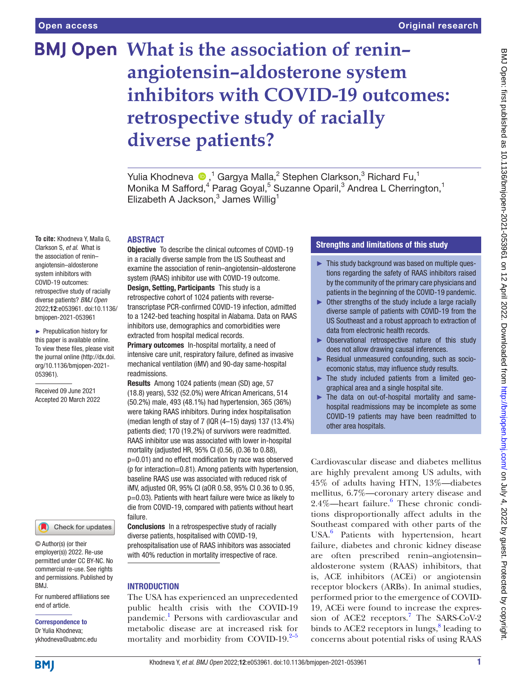# **BMJ Open What is the association of reninangiotensin–aldosterone system inhibitors with COVID-19 outcomes: retrospective study of racially diverse patients?**

Yulia Khodneva <sup>®</sup>,<sup>1</sup> Gargya Malla,<sup>2</sup> Stephen Clarkson,<sup>3</sup> Richard Fu,<sup>1</sup> Monika M Safford,<sup>4</sup> Parag Goyal,<sup>5</sup> Suzanne Oparil,<sup>3</sup> Andrea L Cherrington,<sup>1</sup> Elizabeth A Jackson, $3$  James Willig<sup>1</sup>

### ABSTRACT

**To cite:** Khodneva Y, Malla G, Clarkson S, *et al*. What is the association of renin– angiotensin–aldosterone system inhibitors with COVID-19 outcomes: retrospective study of racially diverse patients? *BMJ Open* 2022;12:e053961. doi:10.1136/ bmjopen-2021-053961

► Prepublication history for this paper is available online. To view these files, please visit the journal online [\(http://dx.doi.](http://dx.doi.org/10.1136/bmjopen-2021-053961) [org/10.1136/bmjopen-2021-](http://dx.doi.org/10.1136/bmjopen-2021-053961) [053961\)](http://dx.doi.org/10.1136/bmjopen-2021-053961).

Received 09 June 2021 Accepted 20 March 2022



© Author(s) (or their employer(s)) 2022. Re-use permitted under CC BY-NC. No commercial re-use. See rights and permissions. Published by BMJ.

For numbered affiliations see end of article.

# Correspondence to Dr Yulia Khodneva;

ykhodneva@uabmc.edu

Objective To describe the clinical outcomes of COVID-19 in a racially diverse sample from the US Southeast and examine the association of renin–angiotensin–aldosterone system (RAAS) inhibitor use with COVID-19 outcome. Design, Setting, Participants This study is a retrospective cohort of 1024 patients with reversetranscriptase PCR-confirmed COVID-19 infection, admitted to a 1242-bed teaching hospital in Alabama. Data on RAAS inhibitors use, demographics and comorbidities were extracted from hospital medical records.

Primary outcomes In-hospital mortality, a need of intensive care unit, respiratory failure, defined as invasive mechanical ventilation (iMV) and 90-day same-hospital readmissions.

Results Among 1024 patients (mean (SD) age, 57 (18.8) years), 532 (52.0%) were African Americans, 514 (50.2%) male, 493 (48.1%) had hypertension, 365 (36%) were taking RAAS inhibitors. During index hospitalisation (median length of stay of 7 (IQR (4–15) days) 137 (13.4%) patients died; 170 (19.2%) of survivors were readmitted. RAAS inhibitor use was associated with lower in-hospital mortality (adjusted HR, 95% CI (0.56, (0.36 to 0.88), p=0.01) and no effect modification by race was observed (p for interaction=0.81). Among patients with hypertension, baseline RAAS use was associated with reduced risk of iMV, adjusted OR, 95% CI (aOR 0.58, 95% CI 0.36 to 0.95, p=0.03). Patients with heart failure were twice as likely to die from COVID-19, compared with patients without heart failure.

Conclusions In a retrospespective study of racially diverse patients, hospitalised with COVID-19, prehospitalisation use of RAAS inhibitors was associated with 40% reduction in mortality irrespective of race.

# **INTRODUCTION**

The USA has experienced an unprecedented public health crisis with the COVID-19 pandemic.<sup>[1](#page-8-0)</sup> Persons with cardiovascular and metabolic disease are at increased risk for mortality and morbidity from COVID-19. $2-5$ 

# Strengths and limitations of this study

- ► This study background was based on multiple questions regarding the safety of RAAS inhibitors raised by the community of the primary care physicians and patients in the beginning of the COVID-19 pandemic.
- ► Other strengths of the study include a large racially diverse sample of patients with COVID-19 from the US Southeast and a robust approach to extraction of data from electronic health records.
- ► Observational retrospective nature of this study does not allow drawing causal inferences.
- ► Residual unmeasured confounding, such as socioecomonic status, may influence study results.
- The study included patients from a limited geographical area and a single hospital site.
- The data on out-of-hospital mortality and samehospital readmissions may be incomplete as some COVID-19 patients may have been readmitted to other area hospitals.

Cardiovascular disease and diabetes mellitus are highly prevalent among US adults, with 45% of adults having HTN, 13%—diabetes mellitus, 6.7%—coronary artery disease and 2.4%—heart failure.<sup>6</sup> These chronic conditions disproportionally affect adults in the Southeast compared with other parts of the USA.[6](#page-8-2) Patients with hypertension, heart failure, diabetes and chronic kidney disease are often prescribed renin–angiotensin– aldosterone system (RAAS) inhibitors, that is, ACE inhibitors (ACEi) or angiotensin receptor blockers (ARBs). In animal studies, performed prior to the emergence of COVID-19, ACEi were found to increase the expression of ACE2 receptors.<sup>7</sup> The SARS-CoV-2 binds to ACE2 receptors in lungs,<sup>[8](#page-8-4)</sup> leading to concerns about potential risks of using RAAS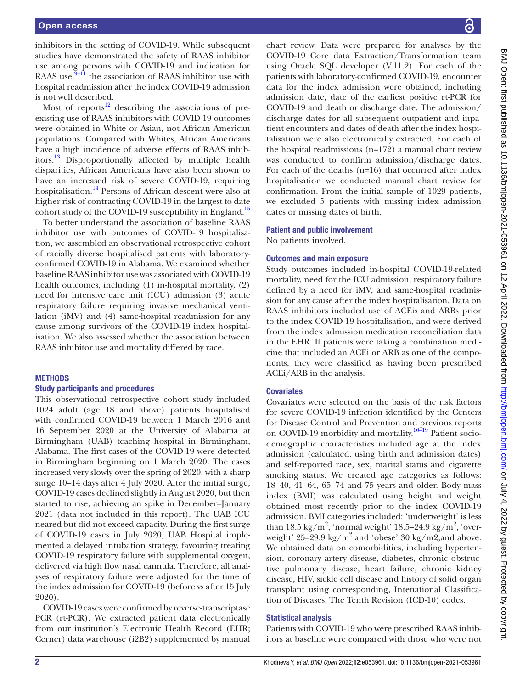inhibitors in the setting of COVID-19. While subsequent studies have demonstrated the safety of RAAS inhibitor use among persons with COVID-19 and indication for RAAS use, $9-11$  the association of RAAS inhibitor use with hospital readmission after the index COVID-19 admission is not well described.

Most of reports $12$  describing the associations of preexisting use of RAAS inhibitors with COVID-19 outcomes were obtained in White or Asian, not African American populations. Compared with Whites, African Americans have a high incidence of adverse effects of RAAS inhibitors[.13](#page-8-7) Disproportionally affected by multiple health disparities, African Americans have also been shown to have an increased risk of severe COVID-19, requiring hospitalisation.<sup>14</sup> Persons of African descent were also at higher risk of contracting COVID-19 in the largest to date cohort study of the COVID-19 susceptibility in England.<sup>15</sup>

To better understand the association of baseline RAAS inhibitor use with outcomes of COVID-19 hospitalisation, we assembled an observational retrospective cohort of racially diverse hospitalised patients with laboratoryconfirmed COVID-19 in Alabama. We examined whether baseline RAAS inhibitor use was associated with COVID-19 health outcomes, including (1) in-hospital mortality, (2) need for intensive care unit (ICU) admission (3) acute respiratory failure requiring invasive mechanical ventilation (iMV) and (4) same-hospital readmission for any cause among survivors of the COVID-19 index hospitalisation. We also assessed whether the association between RAAS inhibitor use and mortality differed by race.

#### **METHODS**

#### Study participants and procedures

This observational retrospective cohort study included 1024 adult (age 18 and above) patients hospitalised with confirmed COVID-19 between 1 March 2016 and 16 September 2020 at the University of Alabama at Birmingham (UAB) teaching hospital in Birmingham, Alabama. The first cases of the COVID-19 were detected in Birmingham beginning on 1 March 2020. The cases increased very slowly over the spring of 2020, with a sharp surge 10–14 days after 4 July 2020. After the initial surge, COVID-19 cases declined slightly in August 2020, but then started to rise, achieving an spike in December–January 2021 (data not included in this report). The UAB ICU neared but did not exceed capacity. During the first surge of COVID-19 cases in July 2020, UAB Hospital implemented a delayed intubation strategy, favouring treating COVID-19 respiratory failure with supplemental oxygen, delivered via high flow nasal cannula. Therefore, all analyses of respiratory failure were adjusted for the time of the index admission for COVID-19 (before vs after 15 July 2020).

COVID-19 cases were confirmed by reverse-transcriptase PCR (rt-PCR). We extracted patient data electronically from our institution's Electronic Health Record (EHR; Cerner) data warehouse (i2B2) supplemented by manual

chart review. Data were prepared for analyses by the COVID-19 Core data Extraction/Transformation team using Oracle SQL developer (V.11.2). For each of the patients with laboratory-confirmed COVID-19, encounter data for the index admission were obtained, including admission date, date of the earliest positive rt-PCR for COVID-19 and death or discharge date. The admission/ discharge dates for all subsequent outpatient and inpatient encounters and dates of death after the index hospitalisation were also electronically extracted. For each of the hospital readmissions (n=172) a manual chart review was conducted to confirm admission/discharge dates. For each of the deaths (n=16) that occurred after index hospitalisation we conducted manual chart review for confirmation. From the initial sample of 1029 patients, we excluded 5 patients with missing index admission dates or missing dates of birth.

## Patient and public involvement

No patients involved.

## Outcomes and main exposure

Study outcomes included in-hospital COVID-19-related mortality, need for the ICU admission, respiratory failure defined by a need for iMV, and same-hospital readmission for any cause after the index hospitalisation. Data on RAAS inhibitors included use of ACEis and ARBs prior to the index COVID-19 hospitalisation, and were derived from the index admission medication reconciliation data in the EHR. If patients were taking a combination medicine that included an ACEi or ARB as one of the components, they were classified as having been prescribed ACEi/ARB in the analysis.

# **Covariates**

Covariates were selected on the basis of the risk factors for severe COVID-19 infection identified by the Centers for Disease Control and Prevention and previous reports on COVID-19 morbidity and mortality.<sup>16-19</sup> Patient sociodemographic characteristics included age at the index admission (calculated, using birth and admission dates) and self-reported race, sex, marital status and cigarette smoking status. We created age categories as follows: 18–40, 41–64, 65–74 and 75 years and older. Body mass index (BMI) was calculated using height and weight obtained most recently prior to the index COVID-19 admission. BMI categories included: 'underweight' is less than 18.5 kg/m<sup>2</sup>, 'normal weight' 18.5–24.9 kg/m<sup>2</sup>, 'overweight'  $25-29.9$  kg/m<sup>2</sup> and 'obese' 30 kg/m2,and above. We obtained data on comorbidities, including hypertension, coronary artery disease, diabetes, chronic obstructive pulmonary disease, heart failure, chronic kidney disease, HIV, sickle cell disease and history of solid organ transplant using corresponding, Intenational Classification of Diseases, The Tenth Revision (ICD-10) codes.

# Statistical analysis

Patients with COVID-19 who were prescribed RAAS inhibitors at baseline were compared with those who were not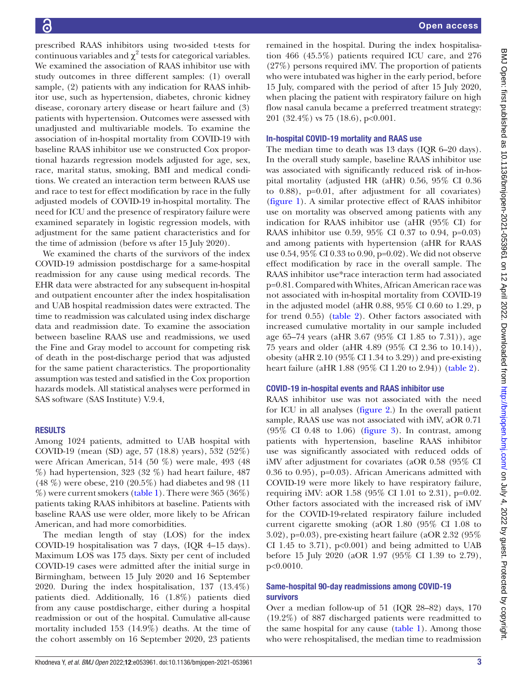prescribed RAAS inhibitors using two-sided t-tests for continuous variables and  $\chi^2$  tests for categorical variables. We examined the association of RAAS inhibitor use with study outcomes in three different samples: (1) overall sample, (2) patients with any indication for RAAS inhibitor use, such as hypertension, diabetes, chronic kidney disease, coronary artery disease or heart failure and (3) patients with hypertension. Outcomes were assessed with unadjusted and multivariable models. To examine the association of in-hospital mortality from COVID-19 with baseline RAAS inhibitor use we constructed Cox proportional hazards regression models adjusted for age, sex, race, marital status, smoking, BMI and medical conditions. We created an interaction term between RAAS use and race to test for effect modification by race in the fully adjusted models of COVID-19 in-hospital mortality. The need for ICU and the presence of respiratory failure were examined separately in logistic regression models, with adjustment for the same patient characteristics and for the time of admission (before vs after 15 July 2020).

We examined the charts of the survivors of the index COVID-19 admission postdischarge for a same-hospital readmission for any cause using medical records. The EHR data were abstracted for any subsequent in-hospital and outpatient encounter after the index hospitalisation and UAB hospital readmission dates were extracted. The time to readmission was calculated using index discharge data and readmission date. To examine the association between baseline RAAS use and readmissions, we used the Fine and Gray model to account for competing risk of death in the post-discharge period that was adjusted for the same patient characteristics. The proportionality assumption was tested and satisfied in the Cox proportion hazards models. All statistical analyses were performed in SAS software (SAS Institute) V.9.4,

# RESULTS

Among 1024 patients, admitted to UAB hospital with COVID-19 (mean (SD) age, 57 (18.8) years), 532 (52%) were African American, 514 (50 %) were male, 493 (48 %) had hypertension, 323 (32 %) had heart failure, 487 (48 %) were obese, 210 (20.5%) had diabetes and 98 (11  $\%$ ) were current smokers [\(table](#page-3-0) 1). There were 365 (36 $\%$ ) patients taking RAAS inhibitors at baseline. Patients with baseline RAAS use were older, more likely to be African American, and had more comorbidities.

The median length of stay (LOS) for the index COVID-19 hospitalisation was 7 days, (IQR 4–15 days). Maximum LOS was 175 days. Sixty per cent of included COVID-19 cases were admitted after the initial surge in Birmingham, between 15 July 2020 and 16 September 2020. During the index hospitalisation, 137 (13.4%) patients died. Additionally, 16 (1.8%) patients died from any cause postdischarge, either during a hospital readmission or out of the hospital. Cumulative all-cause mortality included 153 (14.9%) deaths. At the time of the cohort assembly on 16 September 2020, 23 patients

remained in the hospital. During the index hospitalisation 466 (45.5%) patients required ICU care, and 276 (27%) persons required iMV. The proportion of patients who were intubated was higher in the early period, before 15 July, compared with the period of after 15 July 2020, when placing the patient with respiratory failure on high flow nasal canula became a preferred treatment strategy: 201 (32.4%) vs 75 (18.6), p<0.001.

#### In-hospital COVID-19 mortality and RAAS use

The median time to death was 13 days (IQR 6–20 days). In the overall study sample, baseline RAAS inhibitor use was associated with significantly reduced risk of in-hospital mortality (adjusted HR (aHR) 0.56, 95% CI 0.36 to 0.88), p=0.01, after adjustment for all covariates) [\(figure](#page-4-0) 1). A similar protective effect of RAAS inhibitor use on mortality was observed among patients with any indication for RAAS inhibitor use (aHR (95% CI) for RAAS inhibitor use 0.59, 95% CI 0.37 to 0.94, p=0.03) and among patients with hypertension (aHR for RAAS use 0.54, 95% CI 0.33 to 0.90, p=0.02). We did not observe effect modification by race in the overall sample. The RAAS inhibitor use\*race interaction term had associated p=0.81. Compared with Whites, African American race was not associated with in-hospital mortality from COVID-19 in the adjusted model (aHR 0.88, 95% CI 0.60 to 1.29, p for trend 0.55) [\(table](#page-5-0) 2). Other factors associated with increased cumulative mortality in our sample included age 65–74 years (aHR 3.67 (95% CI 1.85 to 7.31)), age 75 years and older (aHR 4.89 (95% CI 2.36 to 10.14)), obesity (aHR 2.10 (95% CI 1.34 to 3.29)) and pre-existing heart failure (aHR 1.88 (95% CI 1.20 to 2.94)) [\(table](#page-5-0) 2).

#### COVID-19 in-hospital events and RAAS inhibitor use

RAAS inhibitor use was not associated with the need for ICU in all analyses ([figure](#page-6-0) 2.) In the overall patient sample, RAAS use was not associated with iMV, aOR 0.71 (95% CI 0.48 to 1.06) ([figure](#page-7-0) 3). In contrast, among patients with hypertension, baseline RAAS inhibitor use was significantly associated with reduced odds of iMV after adjustment for covariates (aOR 0.58 (95% CI 0.36 to 0.95), p=0.03). African Americans admitted with COVID-19 were more likely to have respiratory failure, requiring iMV: aOR 1.58 (95% CI 1.01 to 2.31), p=0.02. Other factors associated with the increased risk of iMV for the COVID-19-related respiratory failure included current cigarette smoking (aOR 1.80 (95% CI 1.08 to 3.02), p=0.03), pre-existing heart failure (aOR 2.32 (95% CI 1.45 to 3.71),  $p<0.001$  and being admitted to UAB before 15 July 2020 (aOR 1.97 (95% CI 1.39 to 2.79), p<0.0010.

## Same-hospital 90-day readmissions among COVID-19 survivors

Over a median follow-up of 51 (IQR 28–82) days, 170 (19.2%) of 887 discharged patients were readmitted to the same hospital for any cause [\(table](#page-3-0) 1). Among those who were rehospitalised, the median time to readmission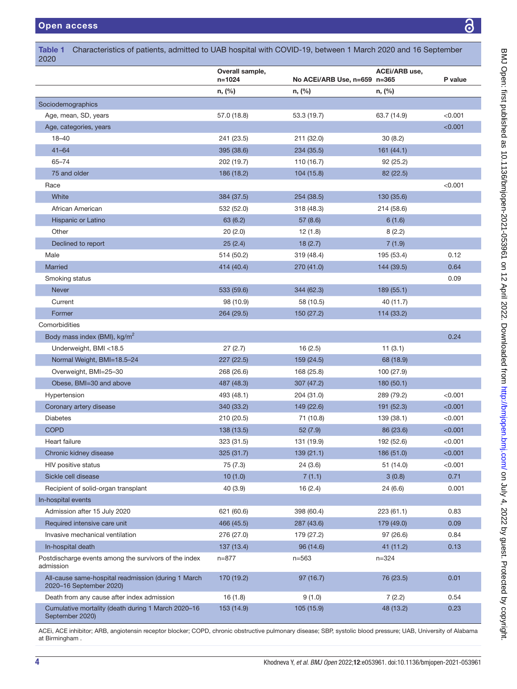I

I

ı

| 2020                                                                           |                               |                              |               |         |
|--------------------------------------------------------------------------------|-------------------------------|------------------------------|---------------|---------|
|                                                                                | Overall sample,<br>$n = 1024$ | No ACEi/ARB Use, n=659 n=365 | ACEI/ARB use, | P value |
|                                                                                | n, (%)                        | n, (%)                       | n, (%)        |         |
| Sociodemographics                                                              |                               |                              |               |         |
| Age, mean, SD, years                                                           | 57.0 (18.8)                   | 53.3 (19.7)                  | 63.7 (14.9)   | < 0.001 |
| Age, categories, years                                                         |                               |                              |               | < 0.001 |
| $18 - 40$                                                                      | 241 (23.5)                    | 211 (32.0)                   | 30(8.2)       |         |
| $41 - 64$                                                                      | 395 (38.6)                    | 234 (35.5)                   | 161(44.1)     |         |
| $65 - 74$                                                                      | 202 (19.7)                    | 110 (16.7)                   | 92 (25.2)     |         |
| 75 and older                                                                   | 186 (18.2)                    | 104 (15.8)                   | 82 (22.5)     |         |
| Race                                                                           |                               |                              |               | < 0.001 |
| White                                                                          | 384 (37.5)                    | 254 (38.5)                   | 130 (35.6)    |         |
| African American                                                               | 532 (52.0)                    | 318 (48.3)                   | 214 (58.6)    |         |
| Hispanic or Latino                                                             | 63 (6.2)                      | 57 (8.6)                     | 6(1.6)        |         |
| Other                                                                          | 20(2.0)                       | 12(1.8)                      | 8(2.2)        |         |
| Declined to report                                                             | 25(2.4)                       | 18(2.7)                      | 7(1.9)        |         |
| Male                                                                           | 514 (50.2)                    | 319 (48.4)                   | 195 (53.4)    | 0.12    |
| <b>Married</b>                                                                 | 414 (40.4)                    | 270 (41.0)                   | 144 (39.5)    | 0.64    |
| Smoking status                                                                 |                               |                              |               | 0.09    |
| <b>Never</b>                                                                   | 533 (59.6)                    | 344 (62.3)                   | 189 (55.1)    |         |
| Current                                                                        | 98 (10.9)                     | 58 (10.5)                    | 40 (11.7)     |         |
| Former                                                                         | 264 (29.5)                    | 150 (27.2)                   | 114 (33.2)    |         |
| Comorbidities                                                                  |                               |                              |               |         |
| Body mass index (BMI), kg/m <sup>2</sup>                                       |                               |                              |               | 0.24    |
| Underweight, BMI <18.5                                                         | 27(2.7)                       | 16(2.5)                      | 11(3.1)       |         |
| Normal Weight, BMI=18.5-24                                                     | 227(22.5)                     | 159 (24.5)                   | 68 (18.9)     |         |
| Overweight, BMI=25-30                                                          | 268 (26.6)                    | 168 (25.8)                   | 100 (27.9)    |         |
| Obese, BMI=30 and above                                                        | 487 (48.3)                    | 307 (47.2)                   | 180 (50.1)    |         |
| Hypertension                                                                   | 493 (48.1)                    | 204 (31.0)                   | 289 (79.2)    | < 0.001 |
| Coronary artery disease                                                        | 340 (33.2)                    | 149 (22.6)                   | 191 (52.3)    | < 0.001 |
| <b>Diabetes</b>                                                                | 210 (20.5)                    | 71 (10.8)                    | 139 (38.1)    | < 0.001 |
| <b>COPD</b>                                                                    | 138 (13.5)                    | 52(7.9)                      | 86 (23.6)     | < 0.001 |
| Heart failure                                                                  | 323 (31.5)                    | 131 (19.9)                   | 192 (52.6)    | < 0.001 |
| Chronic kidney disease                                                         | 325 (31.7)                    | 139(21.1)                    | 186 (51.0)    | < 0.001 |
| <b>HIV positive status</b>                                                     | 75(7.3)                       | 24(3.6)                      | 51 (14.0)     | < 0.001 |
| Sickle cell disease                                                            | 10(1.0)                       | 7(1.1)                       | 3(0.8)        | 0.71    |
| Recipient of solid-organ transplant                                            | 40 (3.9)                      | 16 (2.4)                     | 24 (6.6)      | 0.001   |
| In-hospital events                                                             |                               |                              |               |         |
| Admission after 15 July 2020                                                   | 621 (60.6)                    | 398 (60.4)                   | 223(61.1)     | 0.83    |
| Required intensive care unit                                                   | 466 (45.5)                    | 287 (43.6)                   | 179 (49.0)    | 0.09    |
| Invasive mechanical ventilation                                                | 276 (27.0)                    | 179 (27.2)                   | 97 (26.6)     | 0.84    |
| In-hospital death                                                              | 137 (13.4)                    | 96 (14.6)                    | 41 (11.2)     | 0.13    |
| Postdischarge events among the survivors of the index<br>admission             | n=877                         | $n = 563$                    | $n = 324$     |         |
| All-cause same-hospital readmission (during 1 March<br>2020-16 September 2020) | 170 (19.2)                    | 97 (16.7)                    | 76 (23.5)     | 0.01    |
| Death from any cause after index admission                                     | 16(1.8)                       | 9(1.0)                       | 7(2.2)        | 0.54    |
| Cumulative mortality (death during 1 March 2020-16<br>September 2020)          | 153 (14.9)                    | 105(15.9)                    | 48 (13.2)     | 0.23    |

<span id="page-3-0"></span>Table 1 Characteristics of patients, admitted to UAB hospital with COVID-19, between 1 March 2020 and 16 September

ACEi, ACE inhibitor; ARB, angiotensin receptor blocker; COPD, chronic obstructive pulmonary disease; SBP, systolic blood pressure; UAB, University of Alabama at Birmingham .

F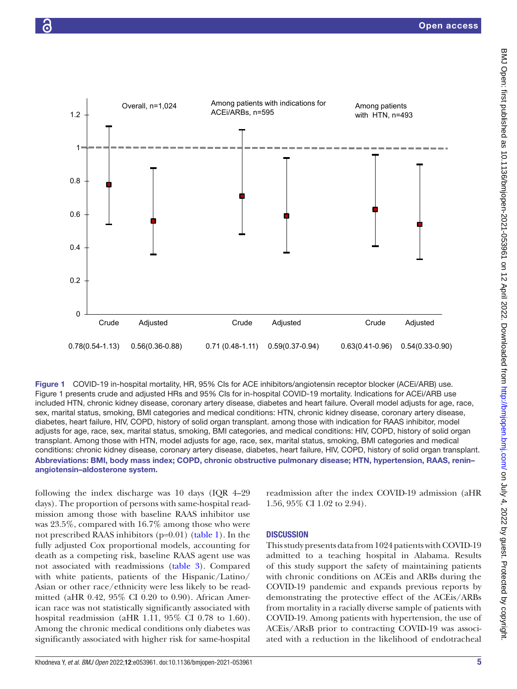



<span id="page-4-0"></span>Figure 1 COVID-19 in-hospital mortality, HR, 95% CIs for ACE inhibitors/angiotensin receptor blocker (ACEi/ARB) use. Figure 1 presents crude and adjusted HRs and 95% CIs for in-hospital COVID-19 mortality. Indications for ACEi/ARB use included HTN, chronic kidney disease, coronary artery disease, diabetes and heart failure. Overall model adjusts for age, race, sex, marital status, smoking, BMI categories and medical conditions: HTN, chronic kidney disease, coronary artery disease, diabetes, heart failure, HIV, COPD, history of solid organ transplant. among those with indication for RAAS inhibitor, model adjusts for age, race, sex, marital status, smoking, BMI categories, and medical conditions: HIV, COPD, history of solid organ transplant. Among those with HTN, model adjusts for age, race, sex, marital status, smoking, BMI categories and medical conditions: chronic kidney disease, coronary artery disease, diabetes, heart failure, HIV, COPD, history of solid organ transplant. Abbreviations: BMI, body mass index; COPD, chronic obstructive pulmonary disease; HTN, hypertension, RAAS, renin– angiotensin–aldosterone system.

following the index discharge was 10 days (IQR 4–29 days). The proportion of persons with same-hospital readmission among those with baseline RAAS inhibitor use was 23.5%, compared with 16.7% among those who were not prescribed RAAS inhibitors (p=0.01) ([table](#page-3-0) 1). In the fully adjusted Cox proportional models, accounting for death as a competing risk, baseline RAAS agent use was not associated with readmissions [\(table](#page-8-8) 3). Compared with white patients, patients of the Hispanic/Latino/ Asian or other race/ethnicity were less likely to be readmitted (aHR 0.42, 95% CI 0.20 to 0.90). African American race was not statistically significantly associated with hospital readmission (aHR 1.11, 95% CI 0.78 to 1.60). Among the chronic medical conditions only diabetes was significantly associated with higher risk for same-hospital

readmission after the index COVID-19 admission (aHR 1.56, 95% CI 1.02 to 2.94).

# **DISCUSSION**

This study presents data from 1024 patients with COVID-19 admitted to a teaching hospital in Alabama. Results of this study support the safety of maintaining patients with chronic conditions on ACEis and ARBs during the COVID-19 pandemic and expands previous reports by demonstrating the protective effect of the ACEis/ARBs from mortality in a racially diverse sample of patients with COVID-19. Among patients with hypertension, the use of ACEis/ARsB prior to contracting COVID-19 was associated with a reduction in the likelihood of endotracheal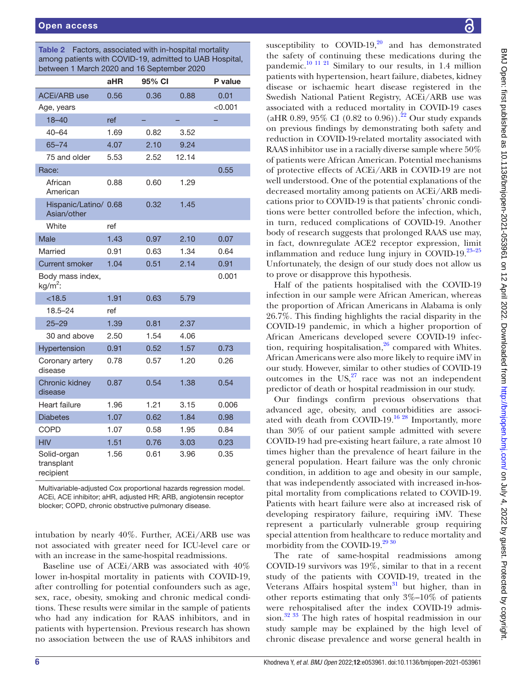<span id="page-5-0"></span>Table 2 Factors, associated with in-hospital mortality among patients with COVID-19, admitted to UAB Hospital, between 1 March 2020 and 16 September 2020

|                                        | aHR  | 95% CI |       | P value |
|----------------------------------------|------|--------|-------|---------|
| <b>ACEi/ARB</b> use                    | 0.56 | 0.36   | 0.88  | 0.01    |
| Age, years                             |      |        |       | < 0.001 |
| $18 - 40$                              | ref  |        |       |         |
| $40 - 64$                              | 1.69 | 0.82   | 3.52  |         |
| $65 - 74$                              | 4.07 | 2.10   | 9.24  |         |
| 75 and older                           | 5.53 | 2.52   | 12.14 |         |
| Race:                                  |      |        |       | 0.55    |
| African<br>American                    | 0.88 | 0.60   | 1.29  |         |
| Hispanic/Latino/ 0.68<br>Asian/other   |      | 0.32   | 1.45  |         |
| White                                  | ref  |        |       |         |
| Male                                   | 1.43 | 0.97   | 2.10  | 0.07    |
| Married                                | 0.91 | 0.63   | 1.34  | 0.64    |
| <b>Current smoker</b>                  | 1.04 | 0.51   | 2.14  | 0.91    |
| Body mass index,<br>$kg/m2$ :          |      |        |       | 0.001   |
| < 18.5                                 | 1.91 | 0.63   | 5.79  |         |
| $18.5 - 24$                            | ref  |        |       |         |
| $25 - 29$                              | 1.39 | 0.81   | 2.37  |         |
| 30 and above                           | 2.50 | 1.54   | 4.06  |         |
| Hypertension                           | 0.91 | 0.52   | 1.57  | 0.73    |
| Coronary artery<br>disease             | 0.78 | 0.57   | 1.20  | 0.26    |
| Chronic kidney<br>disease              | 0.87 | 0.54   | 1.38  | 0.54    |
| Heart failure                          | 1.96 | 1.21   | 3.15  | 0.006   |
| <b>Diabetes</b>                        | 1.07 | 0.62   | 1.84  | 0.98    |
| <b>COPD</b>                            | 1.07 | 0.58   | 1.95  | 0.84    |
| <b>HIV</b>                             | 1.51 | 0.76   | 3.03  | 0.23    |
| Solid-organ<br>transplant<br>recipient | 1.56 | 0.61   | 3.96  | 0.35    |

Multivariable-adjusted Cox proportional hazards regression model. ACEi, ACE inhibitor; aHR, adjusted HR; ARB, angiotensin receptor blocker; COPD, chronic obstructive pulmonary disease.

intubation by nearly 40%. Further, ACEi/ARB use was not associated with greater need for ICU-level care or with an increase in the same-hospital readmissions.

Baseline use of ACEi/ARB was associated with 40% lower in-hospital mortality in patients with COVID-19, after controlling for potential confounders such as age, sex, race, obesity, smoking and chronic medical conditions. These results were similar in the sample of patients who had any indication for RAAS inhibitors, and in patients with hypertension. Previous research has shown no association between the use of RAAS inhibitors and

susceptibility to COVID-19, $20$  and has demonstrated the safety of continuing these medications during the pandemic.<sup>10 11 21</sup> Similary to our results, in 1.4 million patients with hypertension, heart failure, diabetes, kidney disease or ischaemic heart disease registered in the Swedish National Patient Registry, ACEi/ARB use was associated with a reduced mortality in COVID-19 cases (aHR 0.89, 95% CI (0.82 to 0.96)).<sup>[22](#page-9-4)</sup> Our study expands on previous findings by demonstrating both safety and reduction in COVID-19-related mortality associated with RAAS inhibitor use in a racially diverse sample where 50% of patients were African American. Potential mechanisms of protective effects of ACEi/ARB in COVID-19 are not well understood. One of the potential explanations of the decreased mortality among patients on ACEi/ARB medications prior to COVID-19 is that patients' chronic conditions were better controlled before the infection, which, in turn, reduced complications of COVID-19. Another body of research suggests that prolonged RAAS use may, in fact, downregulate ACE2 receptor expression, limit inflammation and reduce lung injury in COVID-19.[23–25](#page-9-5) Unfortunately, the design of our study does not allow us to prove or disapprove this hypothesis.

Half of the patients hospitalised with the COVID-19 infection in our sample were African American, whereas the proportion of African Americans in Alabama is only 26.7%. This finding highlights the racial disparity in the COVID-19 pandemic, in which a higher proportion of African Americans developed severe COVID-19 infection, requiring hospitalisation, $26$  compared with Whites. African Americans were also more likely to require iMV in our study. However, similar to other studies of COVID-19 outcomes in the  $US<sub>1</sub><sup>27</sup>$  race was not an independent predictor of death or hospital readmission in our study.

Our findings confirm previous observations that advanced age, obesity, and comorbidities are associ-ated with death from COVID-19.<sup>[16 28](#page-9-2)</sup> Importantly, more than 30% of our patient sample admitted with severe COVID-19 had pre-existing heart failure, a rate almost 10 times higher than the prevalence of heart failure in the general population. Heart failure was the only chronic condition, in addition to age and obesity in our sample, that was independently associated with increased in-hospital mortality from complications related to COVID-19. Patients with heart failure were also at increased risk of developing respiratory failure, requiring iMV. These represent a particularly vulnerable group requiring special attention from healthcare to reduce mortality and morbidity from the COVID-19.<sup>[29 30](#page-9-8)</sup>

The rate of same-hospital readmissions among COVID-19 survivors was 19%, similar to that in a recent study of the patients with COVID-19, treated in the Veterans Affairs hospital system $31$  but higher, than in other reports estimating that only  $3\%-10\%$  of patients were rehospitalised after the index COVID-19 admission.<sup>32 33</sup> The high rates of hospital readmission in our study sample may be explained by the high level of chronic disease prevalence and worse general health in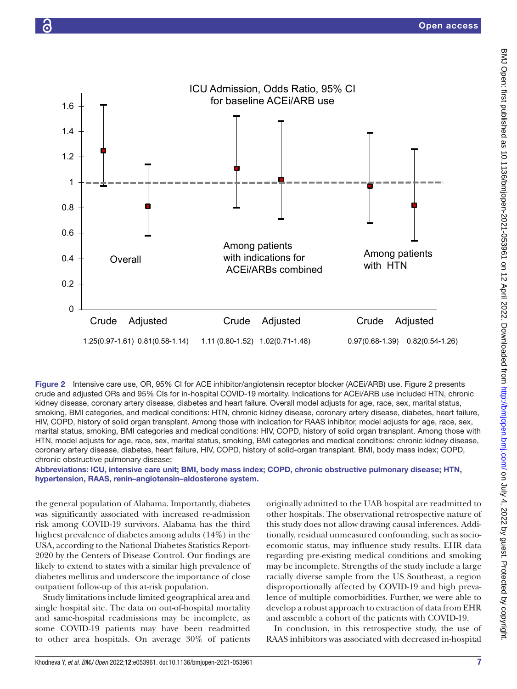



<span id="page-6-0"></span>Figure 2 Intensive care use, OR, 95% CI for ACE inhibitor/angiotensin receptor blocker (ACEi/ARB) use. Figure 2 presents crude and adjusted ORs and 95% CIs for in-hospital COVID-19 mortality. Indications for ACEi/ARB use included HTN, chronic kidney disease, coronary artery disease, diabetes and heart failure. Overall model adjusts for age, race, sex, marital status, smoking, BMI categories, and medical conditions: HTN, chronic kidney disease, coronary artery disease, diabetes, heart failure, HIV, COPD, history of solid organ transplant. Among those with indication for RAAS inhibitor, model adjusts for age, race, sex, marital status, smoking, BMI categories and medical conditions: HIV, COPD, history of solid organ transplant. Among those with HTN, model adjusts for age, race, sex, marital status, smoking, BMI categories and medical conditions: chronic kidney disease, coronary artery disease, diabetes, heart failure, HIV, COPD, history of solid-organ transplant. BMI, body mass index; COPD, chronic obstructive pulmonary disease;

Abbreviations: ICU, intensive care unit; BMI, body mass index; COPD, chronic obstructive pulmonary disease; HTN, hypertension, RAAS, renin–angiotensin–aldosterone system.

the general population of Alabama. Importantly, diabetes was significantly associated with increased re-admission risk among COVID-19 survivors. Alabama has the third highest prevalence of diabetes among adults (14%) in the USA, according to the National Diabetes Statistics Report-2020 by the Centers of Disease Control. Our findings are likely to extend to states with a similar high prevalence of diabetes mellitus and underscore the importance of close outpatient follow-up of this at-risk population.

Study limitations include limited geographical area and single hospital site. The data on out-of-hospital mortality and same-hospital readmissions may be incomplete, as some COVID-19 patients may have been readmitted to other area hospitals. On average 30% of patients

originally admitted to the UAB hospital are readmitted to other hospitals. The observational retrospective nature of this study does not allow drawing causal inferences. Additionally, residual unmeasured confounding, such as socioecomonic status, may influence study results. EHR data regarding pre-existing medical conditions and smoking may be incomplete. Strengths of the study include a large racially diverse sample from the US Southeast, a region disproportionally affected by COVID-19 and high prevalence of multiple comorbidities. Further, we were able to develop a robust approach to extraction of data from EHR and assemble a cohort of the patients with COVID-19.

In conclusion, in this retrospective study, the use of RAAS inhibitors was associated with decreased in-hospital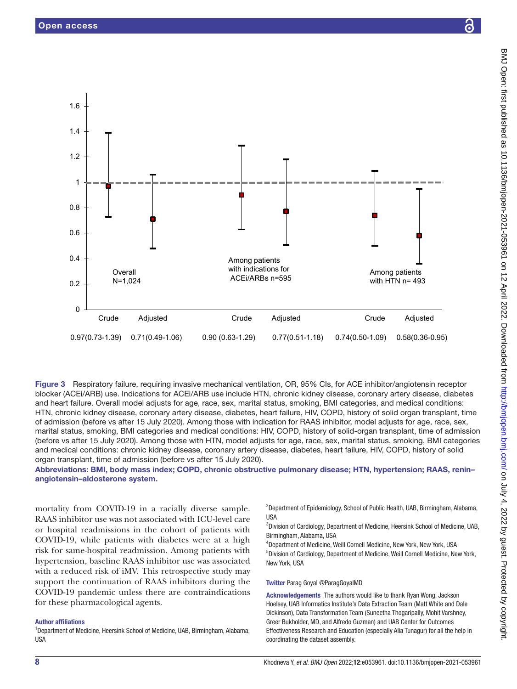

<span id="page-7-0"></span>Figure 3 Respiratory failure, requiring invasive mechanical ventilation, OR, 95% CIs, for ACE inhibitor/angiotensin receptor blocker (ACEi/ARB) use. Indications for ACEi/ARB use include HTN, chronic kidney disease, coronary artery disease, diabetes and heart failure. Overall model adjusts for age, race, sex, marital status, smoking, BMI categories, and medical conditions: HTN, chronic kidney disease, coronary artery disease, diabetes, heart failure, HIV, COPD, history of solid organ transplant, time of admission (before vs after 15 July 2020). Among those with indication for RAAS inhibitor, model adjusts for age, race, sex, marital status, smoking, BMI categories and medical conditions: HIV, COPD, history of solid-organ transplant, time of admission (before vs after 15 July 2020). Among those with HTN, model adjusts for age, race, sex, marital status, smoking, BMI categories and medical conditions: chronic kidney disease, coronary artery disease, diabetes, heart failure, HIV, COPD, history of solid organ transplant, time of admission (before vs after 15 July 2020).

Abbreviations: BMI, body mass index; COPD, chronic obstructive pulmonary disease; HTN, hypertension; RAAS, renin– angiotensin–aldosterone system.

mortality from COVID-19 in a racially diverse sample. RAAS inhibitor use was not associated with ICU-level care or hospital readmissions in the cohort of patients with COVID-19, while patients with diabetes were at a high risk for same-hospital readmission. Among patients with hypertension, baseline RAAS inhibitor use was associated with a reduced risk of iMV. This retrospective study may support the continuation of RAAS inhibitors during the COVID-19 pandemic unless there are contraindications for these pharmacological agents.

#### Author affiliations

<sup>1</sup>Department of Medicine, Heersink School of Medicine, UAB, Birmingham, Alabama, USA

<sup>2</sup>Department of Epidemiology, School of Public Health, UAB, Birmingham, Alabama, USA

3 Division of Cardiology, Department of Medicine, Heersink School of Medicine, UAB, Birmingham, Alabama, USA

4 Department of Medicine, Weill Cornell Medicine, New York, New York, USA 5 Division of Cardiology, Department of Medicine, Weill Cornell Medicine, New York, New York, USA

#### Twitter Parag Goyal [@ParagGoyalMD](https://twitter.com/ParagGoyalMD)

Acknowledgements The authors would like to thank Ryan Wong, Jackson Hoelsey, UAB Informatics Institute's Data Extraction Team (Matt White and Dale Dickinson), Data Transformation Team (Suneetha Thogaripally, Mohit Varshney, Greer Bukholder, MD, and Alfredo Guzman) and UAB Center for Outcomes Effectiveness Research and Education (especially Alia Tunagur) for all the help in coordinating the dataset assembly.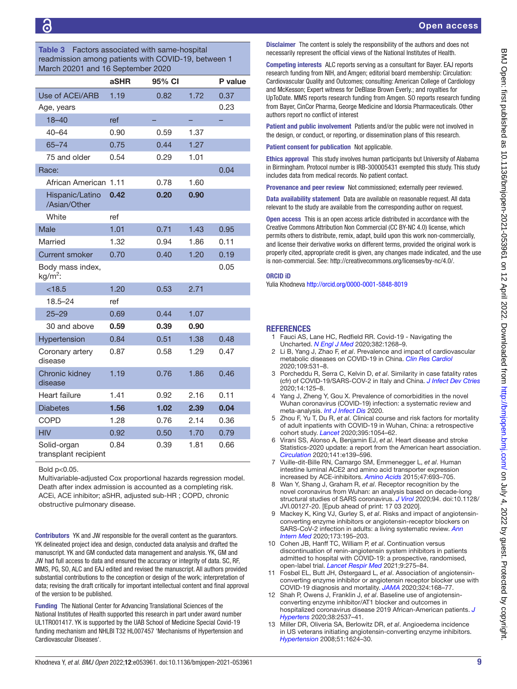<span id="page-8-8"></span>Table 3 Factors associated with same-hospital readmission among patients with COVID-19, between 1 March 20201 and 16 September 2020

| <b>March 2020</b>   and 10 September 2020 |      |        |      |         |  |  |  |  |
|-------------------------------------------|------|--------|------|---------|--|--|--|--|
|                                           | aSHR | 95% CI |      | P value |  |  |  |  |
| Use of ACEI/ARB                           | 1.19 | 0.82   | 1.72 | 0.37    |  |  |  |  |
| Age, years                                |      |        |      | 0.23    |  |  |  |  |
| $18 - 40$                                 | ref  |        |      |         |  |  |  |  |
| $40 - 64$                                 | 0.90 | 0.59   | 1.37 |         |  |  |  |  |
| $65 - 74$                                 | 0.75 | 0.44   | 1.27 |         |  |  |  |  |
| 75 and older                              | 0.54 | 0.29   | 1.01 |         |  |  |  |  |
| Race:                                     |      |        |      | 0.04    |  |  |  |  |
| African American                          | 1.11 | 0.78   | 1.60 |         |  |  |  |  |
| Hispanic/Latino<br>/Asian/Other           | 0.42 | 0.20   | 0.90 |         |  |  |  |  |
| White                                     | ref  |        |      |         |  |  |  |  |
| <b>Male</b>                               | 1.01 | 0.71   | 1.43 | 0.95    |  |  |  |  |
| Married                                   | 1.32 | 0.94   | 1.86 | 0.11    |  |  |  |  |
| <b>Current smoker</b>                     | 0.70 | 0.40   | 1.20 | 0.19    |  |  |  |  |
| Body mass index,<br>$kg/m2$ :             |      |        |      | 0.05    |  |  |  |  |
| < 18.5                                    | 1.20 | 0.53   | 2.71 |         |  |  |  |  |
| $18.5 - 24$                               | ref  |        |      |         |  |  |  |  |
| $25 - 29$                                 | 0.69 | 0.44   | 1.07 |         |  |  |  |  |
| 30 and above                              | 0.59 | 0.39   | 0.90 |         |  |  |  |  |
| Hypertension                              | 0.84 | 0.51   | 1.38 | 0.48    |  |  |  |  |
| Coronary artery<br>disease                | 0.87 | 0.58   | 1.29 | 0.47    |  |  |  |  |
| <b>Chronic kidney</b><br>disease          | 1.19 | 0.76   | 1.86 | 0.46    |  |  |  |  |
| <b>Heart failure</b>                      | 1.41 | 0.92   | 2.16 | 0.11    |  |  |  |  |
| <b>Diabetes</b>                           | 1.56 | 1.02   | 2.39 | 0.04    |  |  |  |  |
| COPD                                      | 1.28 | 0.76   | 2.14 | 0.36    |  |  |  |  |
| <b>HIV</b>                                | 0.92 | 0.50   | 1.70 | 0.79    |  |  |  |  |
| Solid-organ<br>transplant recipient       | 0.84 | 0.39   | 1.81 | 0.66    |  |  |  |  |

Bold p<0.05. Multivariable-adjusted Cox proportional hazards regression model. Death after index admission is accounted as a completing risk. ACEi, ACE inhibitor; aSHR, adjusted sub-HR ; COPD, chronic obstructive pulmonary disease.

Contributors YK and JW responsible for the overall content as the guarantors. YK delineated project idea and design, conducted data analysis and drafted the manuscript. YK and GM conducted data management and analysis. YK, GM and JW had full access to data and ensured the accuracy or integrity of data. SC, RF, MMS, PG, SO, ALC and EAJ edited and revised the manuscript. All authors provided substantial contributions to the conception or design of the work; interpretation of data; revising the draft critically for important intellectual content and final approval of the version to be published.

Funding The National Center for Advancing Translational Sciences of the National Institutes of Health supported this research in part under award number UL1TR001417. YK is supported by the UAB School of Medicine Special Covid-19 funding mechanism and NHLBI T32 HL007457 'Mechanisms of Hypertension and Cardiovascular Diseases'.

Disclaimer The content is solely the responsibility of the authors and does not necessarily represent the official views of the National Institutes of Health.

Competing interests ALC reports serving as a consultant for Bayer. EAJ reports research funding from NIH, and Amgen; editorial board membership: Circulation: Cardiovascular Quality and Outcomes; consulting: American College of Cardiology and McKesson; Expert witness for DeBlase Brown Everly.; and royalties for UpToDate. MMS reports research funding from Amgen. SO reports research funding from Bayer, CinCor Pharma, George Medicine and Idorsia Pharmaceuticals. Other authors report no conflict of interest

Patient and public involvement Patients and/or the public were not involved in the design, or conduct, or reporting, or dissemination plans of this research.

Patient consent for publication Not applicable.

Ethics approval This study involves human participants but University of Alabama in Birmingham. Protocol number is IRB-300005431 exempted this study. This study includes data from medical records. No patient contact.

Provenance and peer review Not commissioned; externally peer reviewed.

Data availability statement Data are available on reasonable request. All data relevant to the study are available from the corresponding author on request.

Open access This is an open access article distributed in accordance with the Creative Commons Attribution Non Commercial (CC BY-NC 4.0) license, which permits others to distribute, remix, adapt, build upon this work non-commercially, and license their derivative works on different terms, provided the original work is properly cited, appropriate credit is given, any changes made indicated, and the use is non-commercial. See: [http://creativecommons.org/licenses/by-nc/4.0/.](http://creativecommons.org/licenses/by-nc/4.0/)

#### ORCID iD

Yulia Khodneva<http://orcid.org/0000-0001-5848-8019>

#### **REFERENCES**

- <span id="page-8-0"></span>1 Fauci AS, Lane HC, Redfield RR. Covid-19 - Navigating the Uncharted. *[N Engl J Med](http://dx.doi.org/10.1056/NEJMe2002387)* 2020;382:1268–9.
- <span id="page-8-1"></span>2 Li B, Yang J, Zhao F, *et al*. Prevalence and impact of cardiovascular metabolic diseases on COVID-19 in China. *[Clin Res Cardiol](http://dx.doi.org/10.1007/s00392-020-01626-9)* 2020;109:531–8.
- 3 Porcheddu R, Serra C, Kelvin D, *et al*. Similarity in case fatality rates (cfr) of COVID-19/SARS-COV-2 in Italy and China. *[J Infect Dev Ctries](http://dx.doi.org/10.3855/jidc.12600)* 2020;14:125–8.
- 4 Yang J, Zheng Y, Gou X. Prevalence of comorbidities in the novel Wuhan coronavirus (COVID-19) infection: a systematic review and meta-analysis. *[Int J Infect Dis](http://dx.doi.org/10.1016/j.ijid.2020.03.017)* 2020.
- 5 Zhou F, Yu T, Du R, *et al*. Clinical course and risk factors for mortality of adult inpatients with COVID-19 in Wuhan, China: a retrospective cohort study. *[Lancet](http://dx.doi.org/10.1016/S0140-6736(20)30566-3)* 2020;395:1054–62.
- <span id="page-8-2"></span>6 Virani SS, Alonso A, Benjamin EJ, *et al*. Heart disease and stroke Statistics-2020 update: a report from the American heart association. *[Circulation](http://dx.doi.org/10.1161/CIR.0000000000000757)* 2020;141:e139–596.
- <span id="page-8-3"></span>7 Vuille-dit-Bille RN, Camargo SM, Emmenegger L, *et al*. Human intestine luminal ACE2 and amino acid transporter expression increased by ACE-inhibitors. *[Amino Acids](http://dx.doi.org/10.1007/s00726-014-1889-6)* 2015;47:693–705.
- <span id="page-8-4"></span>8 Wan Y, Shang J, Graham R, *et al*. Receptor recognition by the novel coronavirus from Wuhan: an analysis based on decade-long structural studies of SARS coronavirus. *[J Virol](http://dx.doi.org/10.1128/JVI.00127-20)* 2020;94. doi:10.1128/ JVI.00127-20. [Epub ahead of print: 17 03 2020].
- <span id="page-8-5"></span>9 Mackey K, King VJ, Gurley S, *et al*. Risks and impact of angiotensinconverting enzyme inhibitors or angiotensin-receptor blockers on SARS-CoV-2 infection in adults: a living systematic review. *[Ann](http://dx.doi.org/10.7326/M20-1515)  [Intern Med](http://dx.doi.org/10.7326/M20-1515)* 2020;173:195–203.
- <span id="page-8-9"></span>10 Cohen JB, Hanff TC, William P, *et al*. Continuation versus discontinuation of renin-angiotensin system inhibitors in patients admitted to hospital with COVID-19: a prospective, randomised, open-label trial. *[Lancet Respir Med](http://dx.doi.org/10.1016/S2213-2600(20)30558-0)* 2021;9:275–84.
- 11 Fosbøl EL, Butt JH, Østergaard L, *et al*. Association of angiotensinconverting enzyme inhibitor or angiotensin receptor blocker use with COVID-19 diagnosis and mortality. *[JAMA](http://dx.doi.org/10.1001/jama.2020.11301)* 2020;324:168–77.
- <span id="page-8-6"></span>12 Shah P, Owens J, Franklin J, *et al*. Baseline use of angiotensinconverting enzyme inhibitor/AT1 blocker and outcomes in hospitalized coronavirus disease 2019 African-American patients. *[J](http://dx.doi.org/10.1097/HJH.0000000000002584)  [Hypertens](http://dx.doi.org/10.1097/HJH.0000000000002584)* 2020;38:2537–41.
- <span id="page-8-7"></span>13 Miller DR, Oliveria SA, Berlowitz DR, *et al*. Angioedema incidence in US veterans initiating angiotensin-converting enzyme inhibitors. *[Hypertension](http://dx.doi.org/10.1161/HYPERTENSIONAHA.108.110270)* 2008;51:1624–30.